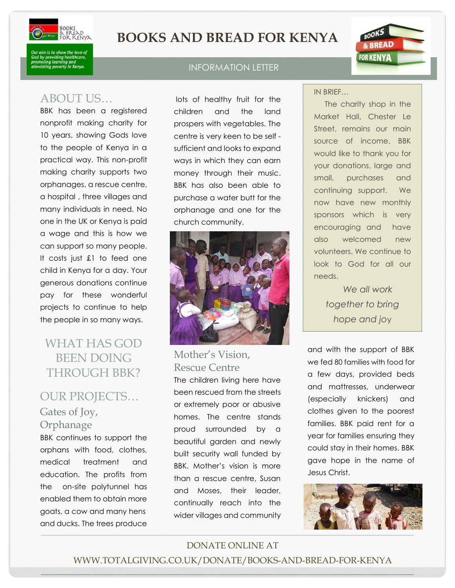

# **BOOKS AND BREAD FOR KENYA**

is to snow the love c<br>roviding healthcare<br>ig learning and<br>ig poverty in Kenya.

## ABOUT US…

BBK has been a registered nonprofit making charity for 10 years, showing Gods love to the people of Kenya in a practical way. This non-profit making charity supports two orphanages, a rescue centre, a hospital , three villages and many individuals in need. No one in the UK or Kenya is paid a wage and this is how we can support so many people. It costs just £1 to feed one child in Kenya for a day. Your generous donations continue pay for these wonderful projects to continue to help the people in so many ways.

# WHAT HAS GOD BEEN DOING THROUGH BBK?

## OUR PROJECTS… Gates of Joy, **Orphanage**

BBK continues to support the orphans with food, clothes, medical treatment and education. The profits from the on-site polytunnel has enabled them to obtain more goats, a cow and many hens and ducks. The trees produce

#### INFORMATION LETTER

lots of healthy fruit for the children and the land prospers with vegetables. The centre is very keen to be self sufficient and looks to expand ways in which they can earn money through their music. BBK has also been able to purchase a water butt for the orphanage and one for the church community.



## Mother's Vision, Rescue Centre

The children living here have been rescued from the streets or extremely poor or abusive homes. The centre stands proud surrounded by a beautiful garden and newly built security wall funded by BBK. Mother's vision is more than a rescue centre, Susan and Moses, their leader, continually reach into the wider villages and community

IN BRIEF…

The charity shop in the Market Hall, Chester Le Street, remains our main source of income. BBK would like to thank you for your donations, large and small, purchases and continuing support. We now have new monthly sponsors which is very encouraging and have also welcomed new volunteers. We continue to look to God for all our needs.

BOOKS & BREAD

**FOR KENYA** 

*We all work together to bring hope and jo*y

and with the support of BBK we fed 80 families with food for a few days, provided beds and mattresses, underwear (especially knickers) and clothes given to the poorest families. BBK paid rent for a year for families ensuring they could stay in their homes. BBK gave hope in the name of Jesus Christ.



## DONATE ONLINE AT WWW.TOTALGIVING.CO.UK/DONATE/BOOKS-AND-BREAD-FOR-KENYA